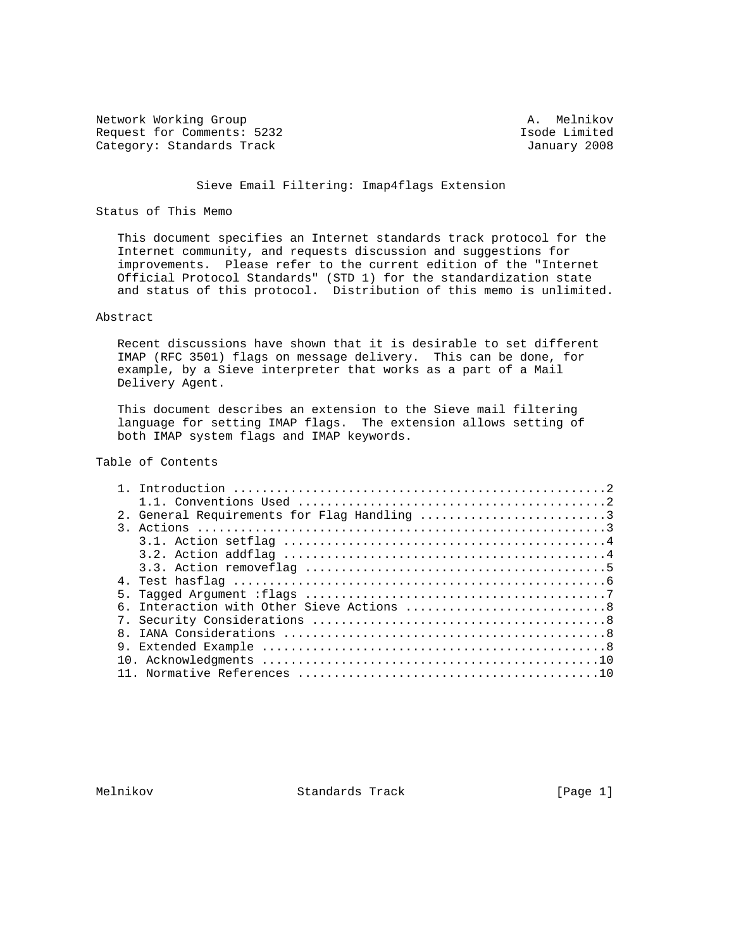Network Working Group and A. Melnikov Request for Comments: 5232 Isode Limited<br>
Category: Standards Track Category: Standards Track Category: Standards Track

### Sieve Email Filtering: Imap4flags Extension

### Status of This Memo

 This document specifies an Internet standards track protocol for the Internet community, and requests discussion and suggestions for improvements. Please refer to the current edition of the "Internet Official Protocol Standards" (STD 1) for the standardization state and status of this protocol. Distribution of this memo is unlimited.

# Abstract

 Recent discussions have shown that it is desirable to set different IMAP (RFC 3501) flags on message delivery. This can be done, for example, by a Sieve interpreter that works as a part of a Mail Delivery Agent.

 This document describes an extension to the Sieve mail filtering language for setting IMAP flags. The extension allows setting of both IMAP system flags and IMAP keywords.

# Table of Contents

|  | 2. General Requirements for Flag Handling 3 |
|--|---------------------------------------------|
|  |                                             |
|  |                                             |
|  |                                             |
|  |                                             |
|  |                                             |
|  |                                             |
|  | 6. Interaction with Other Sieve Actions 8   |
|  |                                             |
|  |                                             |
|  |                                             |
|  |                                             |
|  |                                             |

Melnikov Standards Track [Page 1]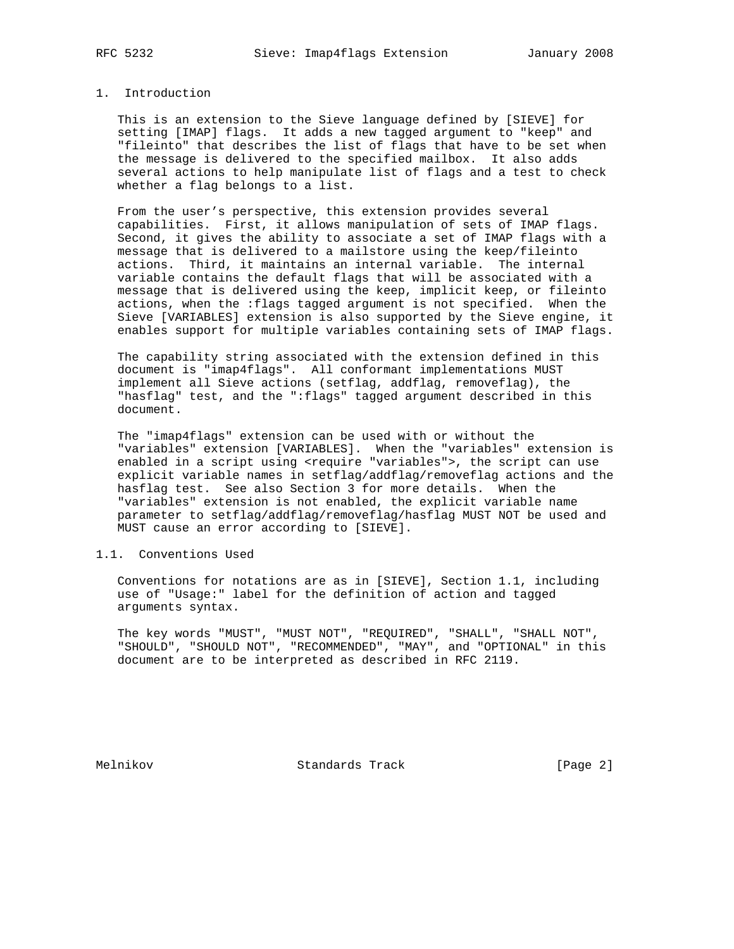## 1. Introduction

 This is an extension to the Sieve language defined by [SIEVE] for setting [IMAP] flags. It adds a new tagged argument to "keep" and "fileinto" that describes the list of flags that have to be set when the message is delivered to the specified mailbox. It also adds several actions to help manipulate list of flags and a test to check whether a flag belongs to a list.

 From the user's perspective, this extension provides several capabilities. First, it allows manipulation of sets of IMAP flags. Second, it gives the ability to associate a set of IMAP flags with a message that is delivered to a mailstore using the keep/fileinto actions. Third, it maintains an internal variable. The internal variable contains the default flags that will be associated with a message that is delivered using the keep, implicit keep, or fileinto actions, when the :flags tagged argument is not specified. When the Sieve [VARIABLES] extension is also supported by the Sieve engine, it enables support for multiple variables containing sets of IMAP flags.

 The capability string associated with the extension defined in this document is "imap4flags". All conformant implementations MUST implement all Sieve actions (setflag, addflag, removeflag), the "hasflag" test, and the ":flags" tagged argument described in this document.

 The "imap4flags" extension can be used with or without the "variables" extension [VARIABLES]. When the "variables" extension is enabled in a script using <require "variables">, the script can use explicit variable names in setflag/addflag/removeflag actions and the hasflag test. See also Section 3 for more details. When the "variables" extension is not enabled, the explicit variable name parameter to setflag/addflag/removeflag/hasflag MUST NOT be used and MUST cause an error according to [SIEVE].

## 1.1. Conventions Used

 Conventions for notations are as in [SIEVE], Section 1.1, including use of "Usage:" label for the definition of action and tagged arguments syntax.

 The key words "MUST", "MUST NOT", "REQUIRED", "SHALL", "SHALL NOT", "SHOULD", "SHOULD NOT", "RECOMMENDED", "MAY", and "OPTIONAL" in this document are to be interpreted as described in RFC 2119.

Melnikov Standards Track [Page 2]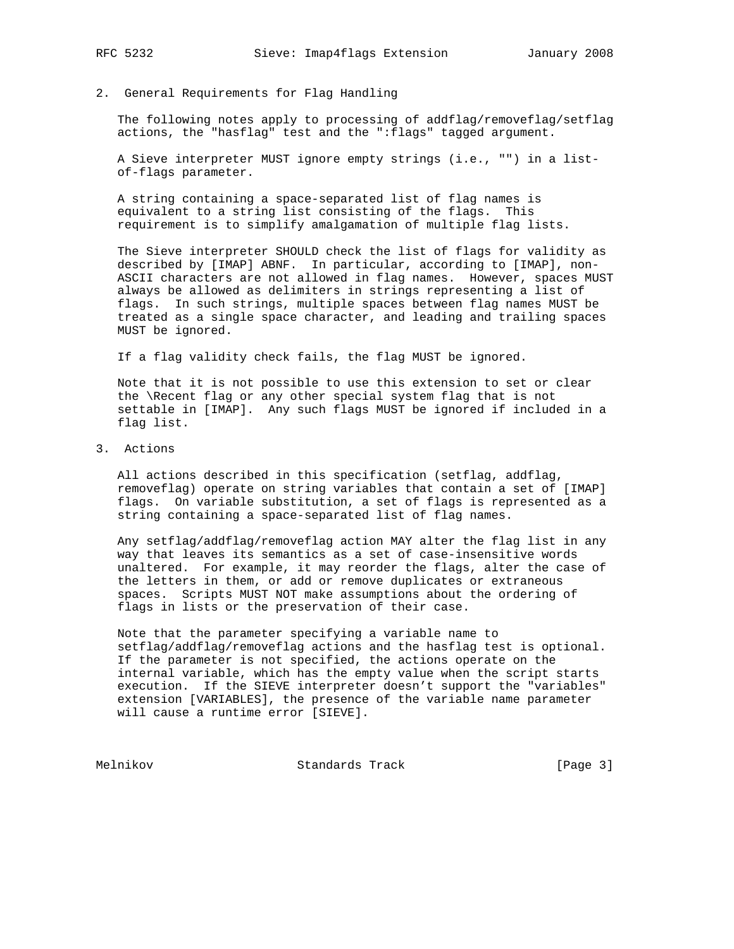2. General Requirements for Flag Handling

The following notes apply to processing of addflag/removeflag/setflag actions, the "hasflag" test and the ":flags" tagged argument.

 A Sieve interpreter MUST ignore empty strings (i.e., "") in a list of-flags parameter.

 A string containing a space-separated list of flag names is equivalent to a string list consisting of the flags. This requirement is to simplify amalgamation of multiple flag lists.

 The Sieve interpreter SHOULD check the list of flags for validity as described by [IMAP] ABNF. In particular, according to [IMAP], non- ASCII characters are not allowed in flag names. However, spaces MUST always be allowed as delimiters in strings representing a list of flags. In such strings, multiple spaces between flag names MUST be treated as a single space character, and leading and trailing spaces MUST be ignored.

If a flag validity check fails, the flag MUST be ignored.

 Note that it is not possible to use this extension to set or clear the \Recent flag or any other special system flag that is not settable in [IMAP]. Any such flags MUST be ignored if included in a flag list.

3. Actions

 All actions described in this specification (setflag, addflag, removeflag) operate on string variables that contain a set of [IMAP] flags. On variable substitution, a set of flags is represented as a string containing a space-separated list of flag names.

 Any setflag/addflag/removeflag action MAY alter the flag list in any way that leaves its semantics as a set of case-insensitive words unaltered. For example, it may reorder the flags, alter the case of the letters in them, or add or remove duplicates or extraneous spaces. Scripts MUST NOT make assumptions about the ordering of flags in lists or the preservation of their case.

 Note that the parameter specifying a variable name to setflag/addflag/removeflag actions and the hasflag test is optional. If the parameter is not specified, the actions operate on the internal variable, which has the empty value when the script starts execution. If the SIEVE interpreter doesn't support the "variables" extension [VARIABLES], the presence of the variable name parameter will cause a runtime error [SIEVE].

Melnikov Standards Track [Page 3]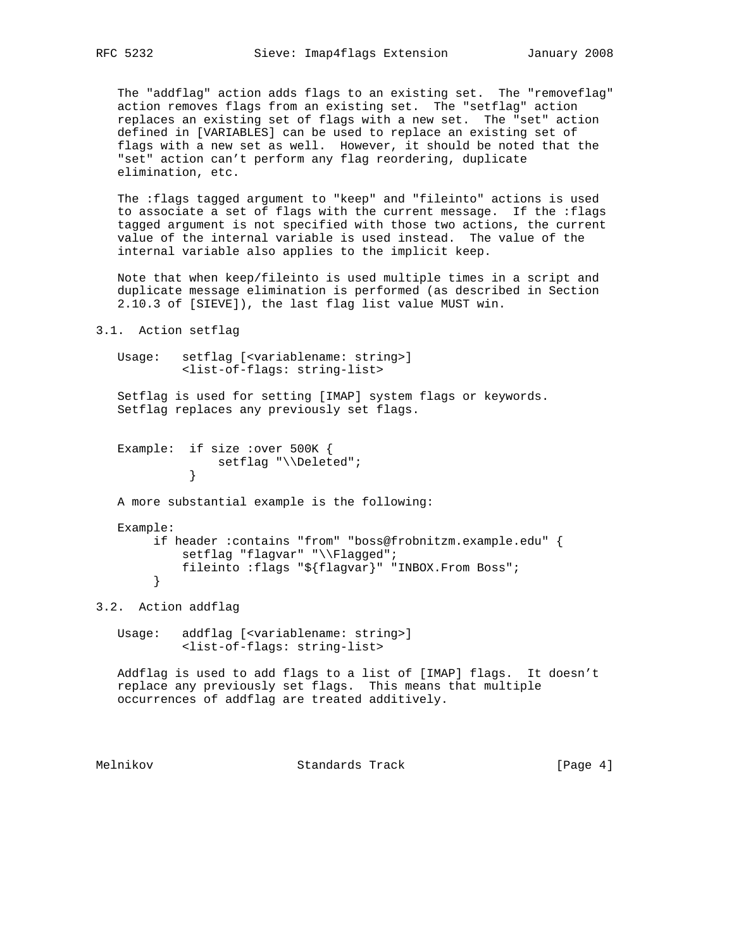The "addflag" action adds flags to an existing set. The "removeflag" action removes flags from an existing set. The "setflag" action replaces an existing set of flags with a new set. The "set" action defined in [VARIABLES] can be used to replace an existing set of flags with a new set as well. However, it should be noted that the "set" action can't perform any flag reordering, duplicate elimination, etc.

 The :flags tagged argument to "keep" and "fileinto" actions is used to associate a set of flags with the current message. If the :flags tagged argument is not specified with those two actions, the current value of the internal variable is used instead. The value of the internal variable also applies to the implicit keep.

 Note that when keep/fileinto is used multiple times in a script and duplicate message elimination is performed (as described in Section 2.10.3 of [SIEVE]), the last flag list value MUST win.

```
3.1. Action setflag
```

```
 Usage: setflag [<variablename: string>]
          <list-of-flags: string-list>
```
 Setflag is used for setting [IMAP] system flags or keywords. Setflag replaces any previously set flags.

```
 Example: if size :over 500K {
           setflag "\\Deleted";<br>}
 }
```
A more substantial example is the following:

```
 Example:
```

```
 if header :contains "from" "boss@frobnitzm.example.edu" {
    setflag "flagvar" "\\Flagged";
     fileinto :flags "${flagvar}" "INBOX.From Boss";
 }
```
3.2. Action addflag

 Usage: addflag [<variablename: string>] <list-of-flags: string-list>

 Addflag is used to add flags to a list of [IMAP] flags. It doesn't replace any previously set flags. This means that multiple occurrences of addflag are treated additively.

Melnikov Standards Track [Page 4]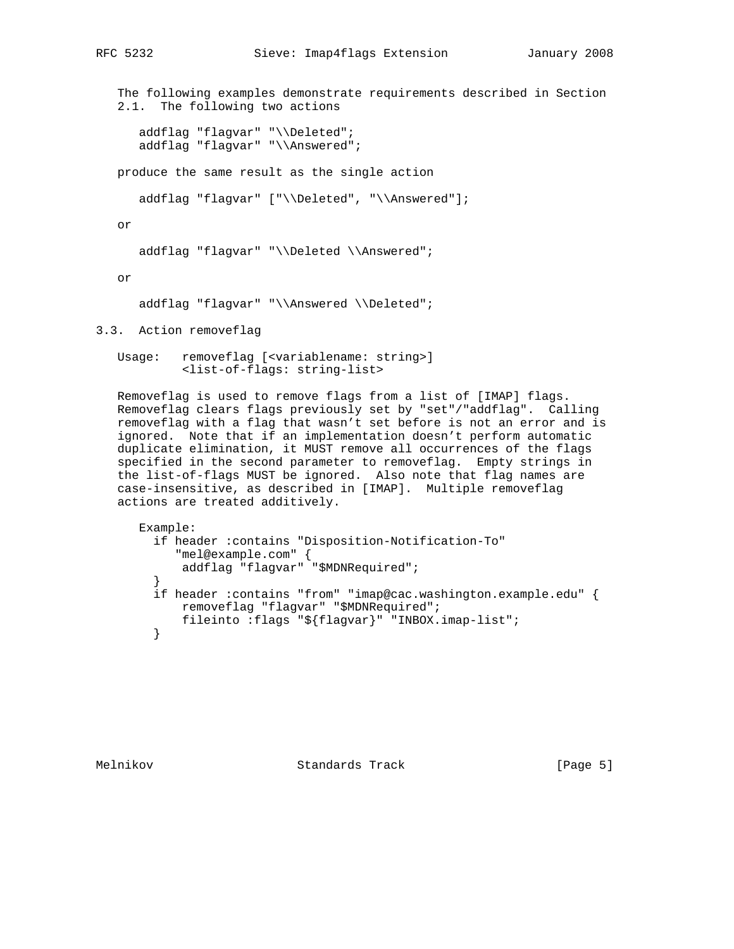# RFC 5232 Sieve: Imap4flags Extension January 2008

 The following examples demonstrate requirements described in Section 2.1. The following two actions

```
 addflag "flagvar" "\\Deleted";
 addflag "flagvar" "\\Answered";
```
produce the same result as the single action

addflag "flagvar" ["\\Deleted", "\\Answered"];

or

addflag "flagvar" "\\Deleted \\Answered";

or

```
addflag "flagvar" "\\Answered \\Deleted";
```
3.3. Action removeflag

 Usage: removeflag [<variablename: string>] <list-of-flags: string-list>

 Removeflag is used to remove flags from a list of [IMAP] flags. Removeflag clears flags previously set by "set"/"addflag". Calling removeflag with a flag that wasn't set before is not an error and is ignored. Note that if an implementation doesn't perform automatic duplicate elimination, it MUST remove all occurrences of the flags specified in the second parameter to removeflag. Empty strings in the list-of-flags MUST be ignored. Also note that flag names are case-insensitive, as described in [IMAP]. Multiple removeflag actions are treated additively.

```
 Example:
         if header :contains "Disposition-Notification-To"
            "mel@example.com" {
            addflag "flagvar" "$MDNRequired";
 }
         if header :contains "from" "imap@cac.washington.example.edu" {
            removeflag "flagvar" "$MDNRequired";
            fileinto :flags "${flagvar}" "INBOX.imap-list";
         }
```
Melnikov Standards Track [Page 5]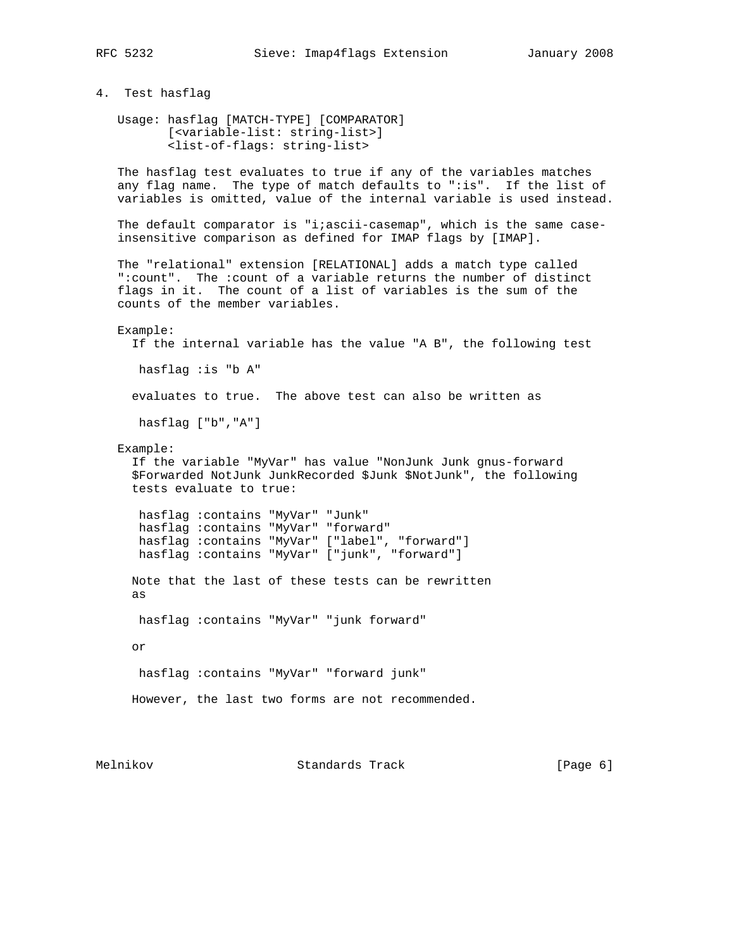4. Test hasflag

 Usage: hasflag [MATCH-TYPE] [COMPARATOR] [<variable-list: string-list>] <list-of-flags: string-list>

 The hasflag test evaluates to true if any of the variables matches any flag name. The type of match defaults to ":is". If the list of variables is omitted, value of the internal variable is used instead.

The default comparator is "i;ascii-casemap", which is the same caseinsensitive comparison as defined for IMAP flags by [IMAP].

 The "relational" extension [RELATIONAL] adds a match type called ":count". The :count of a variable returns the number of distinct flags in it. The count of a list of variables is the sum of the counts of the member variables.

#### Example:

If the internal variable has the value "A B", the following test

hasflag :is "b A"

evaluates to true. The above test can also be written as

hasflag ["b","A"]

Example:

 If the variable "MyVar" has value "NonJunk Junk gnus-forward \$Forwarded NotJunk JunkRecorded \$Junk \$NotJunk", the following tests evaluate to true:

```
 hasflag :contains "MyVar" "Junk"
 hasflag :contains "MyVar" "forward"
 hasflag :contains "MyVar" ["label", "forward"]
 hasflag :contains "MyVar" ["junk", "forward"]
```
 Note that the last of these tests can be rewritten as

hasflag :contains "MyVar" "junk forward"

or

hasflag :contains "MyVar" "forward junk"

```
 However, the last two forms are not recommended.
```
Melnikov Standards Track [Page 6]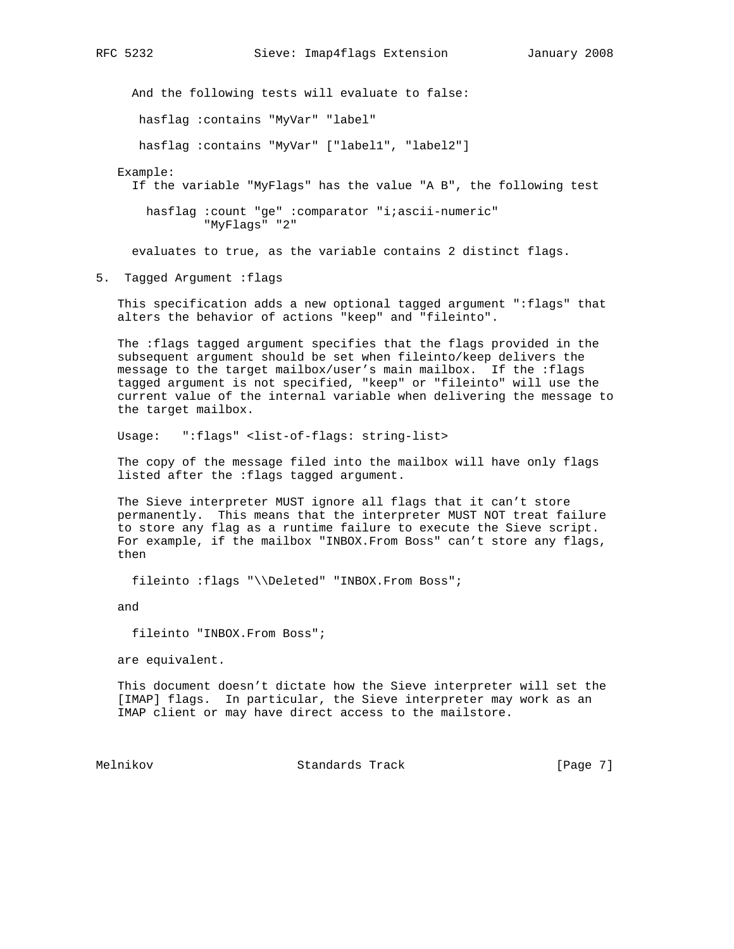And the following tests will evaluate to false:

hasflag :contains "MyVar" "label"

hasflag :contains "MyVar" ["label1", "label2"]

Example:

If the variable "MyFlags" has the value "A B", the following test

 hasflag :count "ge" :comparator "i;ascii-numeric" "MyFlags" "2"

evaluates to true, as the variable contains 2 distinct flags.

5. Tagged Argument :flags

 This specification adds a new optional tagged argument ":flags" that alters the behavior of actions "keep" and "fileinto".

 The :flags tagged argument specifies that the flags provided in the subsequent argument should be set when fileinto/keep delivers the message to the target mailbox/user's main mailbox. If the :flags tagged argument is not specified, "keep" or "fileinto" will use the current value of the internal variable when delivering the message to the target mailbox.

Usage: ":flags" <list-of-flags: string-list>

 The copy of the message filed into the mailbox will have only flags listed after the :flags tagged argument.

 The Sieve interpreter MUST ignore all flags that it can't store permanently. This means that the interpreter MUST NOT treat failure to store any flag as a runtime failure to execute the Sieve script. For example, if the mailbox "INBOX.From Boss" can't store any flags, then

fileinto :flags "\\Deleted" "INBOX.From Boss";

and

fileinto "INBOX.From Boss";

are equivalent.

 This document doesn't dictate how the Sieve interpreter will set the [IMAP] flags. In particular, the Sieve interpreter may work as an IMAP client or may have direct access to the mailstore.

Melnikov Standards Track [Page 7]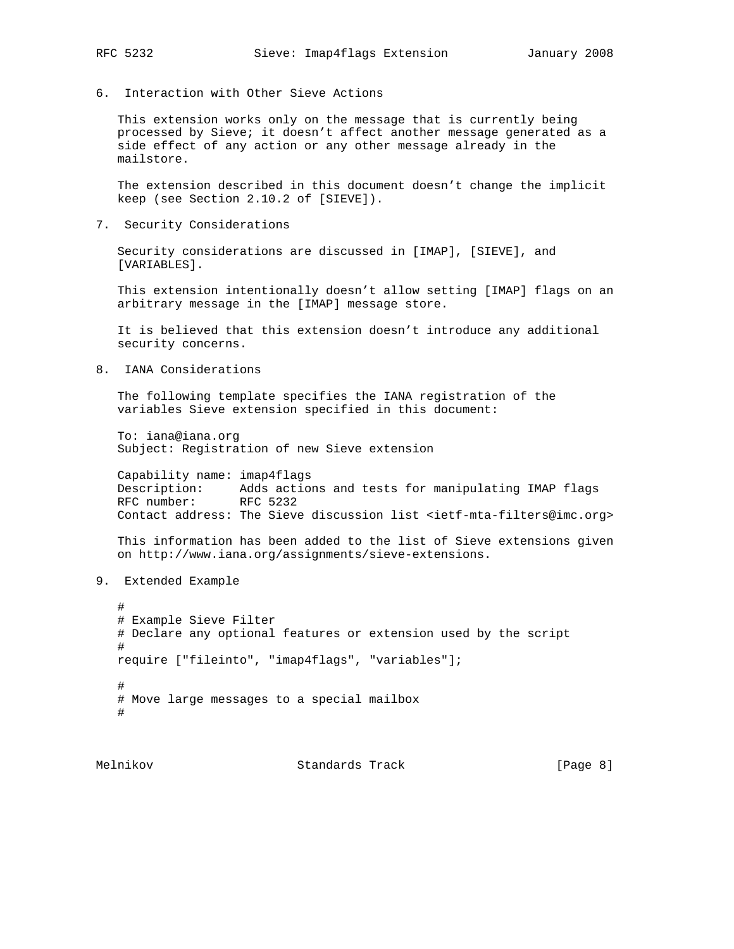6. Interaction with Other Sieve Actions

 This extension works only on the message that is currently being processed by Sieve; it doesn't affect another message generated as a side effect of any action or any other message already in the mailstore.

 The extension described in this document doesn't change the implicit keep (see Section 2.10.2 of [SIEVE]).

7. Security Considerations

 Security considerations are discussed in [IMAP], [SIEVE], and [VARIABLES].

 This extension intentionally doesn't allow setting [IMAP] flags on an arbitrary message in the [IMAP] message store.

 It is believed that this extension doesn't introduce any additional security concerns.

8. IANA Considerations

 The following template specifies the IANA registration of the variables Sieve extension specified in this document:

 To: iana@iana.org Subject: Registration of new Sieve extension

 Capability name: imap4flags Description: Adds actions and tests for manipulating IMAP flags RFC number: RFC 5232 Contact address: The Sieve discussion list <ietf-mta-filters@imc.org>

 This information has been added to the list of Sieve extensions given on http://www.iana.org/assignments/sieve-extensions.

9. Extended Example

```
 #
   # Example Sieve Filter
   # Declare any optional features or extension used by the script
   #
   require ["fileinto", "imap4flags", "variables"];
 #
   # Move large messages to a special mailbox
   #
```
Melnikov Standards Track [Page 8]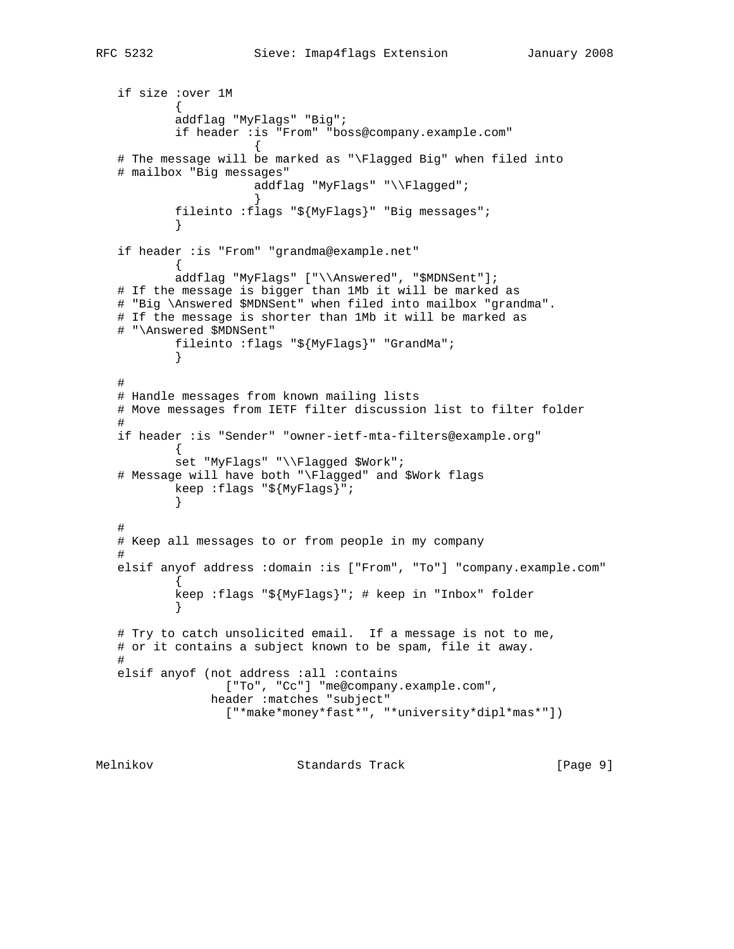```
 if size :over 1M
\{ addflag "MyFlags" "Big";
           if header :is "From" "boss@company.example.com"
\{ # The message will be marked as "\Flagged Big" when filed into
   # mailbox "Big messages"
                     addflag "MyFlags" "\\Flagged";
 }
           fileinto :flags "${MyFlags}" "Big messages";
 }
   if header :is "From" "grandma@example.net"
\{ addflag "MyFlags" ["\\Answered", "$MDNSent"];
   # If the message is bigger than 1Mb it will be marked as
   # "Big \Answered $MDNSent" when filed into mailbox "grandma".
   # If the message is shorter than 1Mb it will be marked as
   # "\Answered $MDNSent"
          fileinto :flags "${MyFlags}" "GrandMa";
 }
 #
   # Handle messages from known mailing lists
   # Move messages from IETF filter discussion list to filter folder
 #
   if header :is "Sender" "owner-ietf-mta-filters@example.org"
\{ set "MyFlags" "\\Flagged $Work";
   # Message will have both "\Flagged" and $Work flags
          keep :flags "${MyFlags}";
 }
 #
   # Keep all messages to or from people in my company
   #
   elsif anyof address :domain :is ["From", "To"] "company.example.com"
\{ keep :flags "${MyFlags}"; # keep in "Inbox" folder
 }
   # Try to catch unsolicited email. If a message is not to me,
   # or it contains a subject known to be spam, file it away.
   #
   elsif anyof (not address :all :contains
                 ["To", "Cc"] "me@company.example.com",
               header :matches "subject"
                 ["*make*money*fast*", "*university*dipl*mas*"])
Melnikov Standards Track [Page 9]
```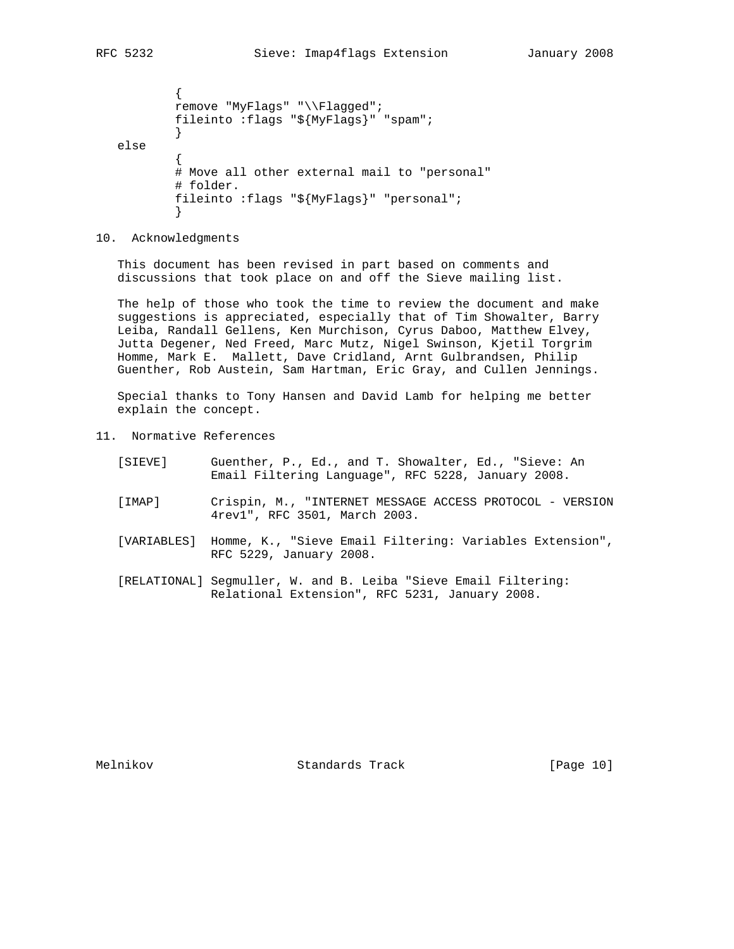```
\{ remove "MyFlags" "\\Flagged";
          fileinto :flags "${MyFlags}" "spam";
 }
   else
\{ # Move all other external mail to "personal"
          # folder.
          fileinto :flags "${MyFlags}" "personal";
 }
```
10. Acknowledgments

 This document has been revised in part based on comments and discussions that took place on and off the Sieve mailing list.

 The help of those who took the time to review the document and make suggestions is appreciated, especially that of Tim Showalter, Barry Leiba, Randall Gellens, Ken Murchison, Cyrus Daboo, Matthew Elvey, Jutta Degener, Ned Freed, Marc Mutz, Nigel Swinson, Kjetil Torgrim Homme, Mark E. Mallett, Dave Cridland, Arnt Gulbrandsen, Philip Guenther, Rob Austein, Sam Hartman, Eric Gray, and Cullen Jennings.

 Special thanks to Tony Hansen and David Lamb for helping me better explain the concept.

- 11. Normative References
	- [SIEVE] Guenther, P., Ed., and T. Showalter, Ed., "Sieve: An Email Filtering Language", RFC 5228, January 2008.
	- [IMAP] Crispin, M., "INTERNET MESSAGE ACCESS PROTOCOL VERSION 4rev1", RFC 3501, March 2003.
	- [VARIABLES] Homme, K., "Sieve Email Filtering: Variables Extension", RFC 5229, January 2008.
	- [RELATIONAL] Segmuller, W. and B. Leiba "Sieve Email Filtering: Relational Extension", RFC 5231, January 2008.

Melnikov Standards Track [Page 10]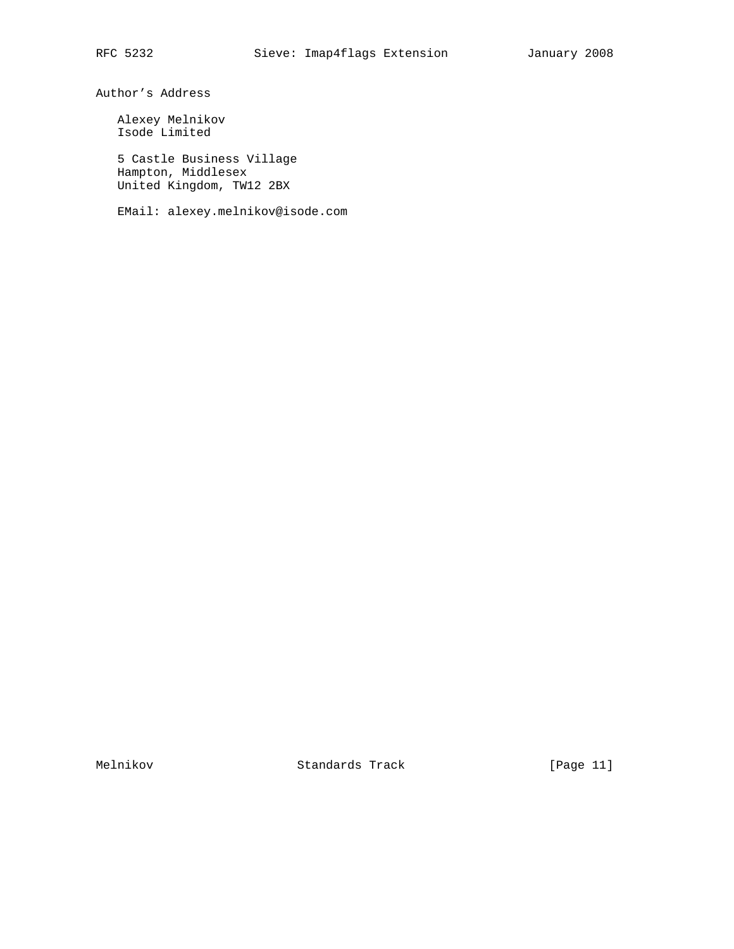Author's Address

 Alexey Melnikov Isode Limited

 5 Castle Business Village Hampton, Middlesex United Kingdom, TW12 2BX

EMail: alexey.melnikov@isode.com

Melnikov Standards Track [Page 11]